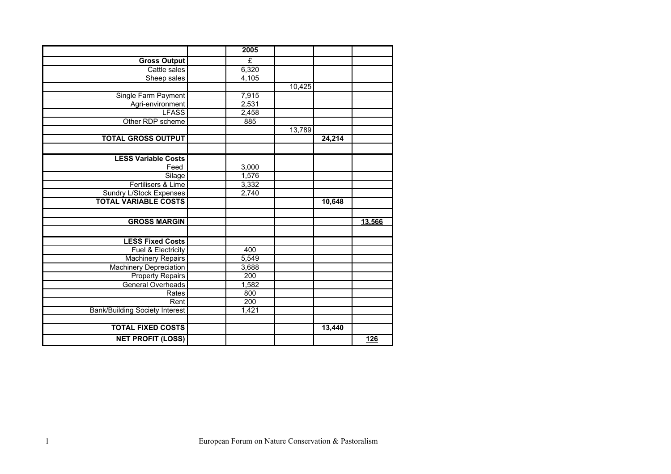|                                       | 2005  |        |        |        |
|---------------------------------------|-------|--------|--------|--------|
| <b>Gross Output</b>                   | £     |        |        |        |
| Cattle sales                          | 6,320 |        |        |        |
| Sheep sales                           | 4,105 |        |        |        |
|                                       |       | 10,425 |        |        |
| Single Farm Payment                   | 7,915 |        |        |        |
| Agri-environment                      | 2,531 |        |        |        |
| <b>LFASS</b>                          | 2,458 |        |        |        |
| Other RDP scheme                      | 885   |        |        |        |
|                                       |       | 13,789 |        |        |
| <b>TOTAL GROSS OUTPUT</b>             |       |        | 24,214 |        |
|                                       |       |        |        |        |
| <b>LESS Variable Costs</b>            |       |        |        |        |
| Feed                                  | 3,000 |        |        |        |
| Silage                                | 1,576 |        |        |        |
| Fertilisers & Lime                    | 3,332 |        |        |        |
| Sundry L/Stock Expenses               | 2,740 |        |        |        |
| <b>TOTAL VARIABLE COSTS</b>           |       |        | 10,648 |        |
|                                       |       |        |        |        |
| <b>GROSS MARGIN</b>                   |       |        |        | 13,566 |
|                                       |       |        |        |        |
| <b>LESS Fixed Costs</b>               |       |        |        |        |
| Fuel & Electricity                    | 400   |        |        |        |
| <b>Machinery Repairs</b>              | 5,549 |        |        |        |
| <b>Machinery Depreciation</b>         | 3,688 |        |        |        |
| <b>Property Repairs</b>               | 200   |        |        |        |
| General Overheads                     | 1,582 |        |        |        |
| Rates                                 | 800   |        |        |        |
| Rent                                  | 200   |        |        |        |
| <b>Bank/Building Society Interest</b> | 1,421 |        |        |        |
|                                       |       |        |        |        |
| <b>TOTAL FIXED COSTS</b>              |       |        | 13,440 |        |
| <b>NET PROFIT (LOSS)</b>              |       |        |        | 126    |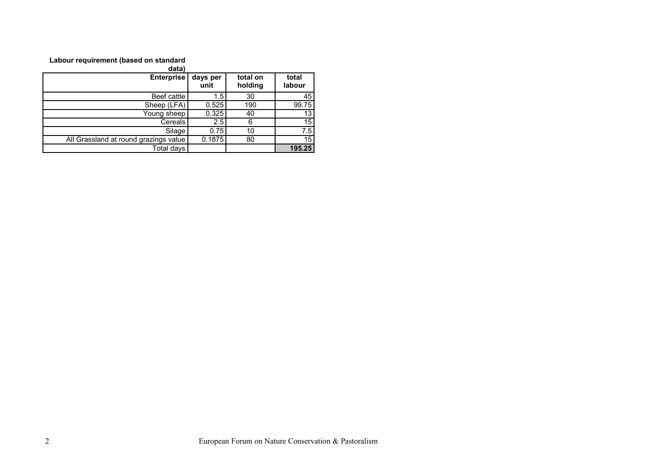## **Labour requirement (based on standard**

| data)                                 |                  |                     |                 |
|---------------------------------------|------------------|---------------------|-----------------|
| <b>Enterprise</b>                     | days per<br>unit | total on<br>holding | total<br>labour |
| Beef cattle                           | 1.5              | 30                  | 45              |
| Sheep (LFA)                           | 0.525            | 190                 | 99.75           |
| Young sheep                           | 0.325            | 40                  | 13              |
| Cereals                               | 2.5              |                     | 15              |
| Silage                                | 0.75             | 10                  | 7.5             |
| All Grassland at round grazings value | 0.1875           | 80                  | 15              |
| Total days                            |                  |                     | 195.25          |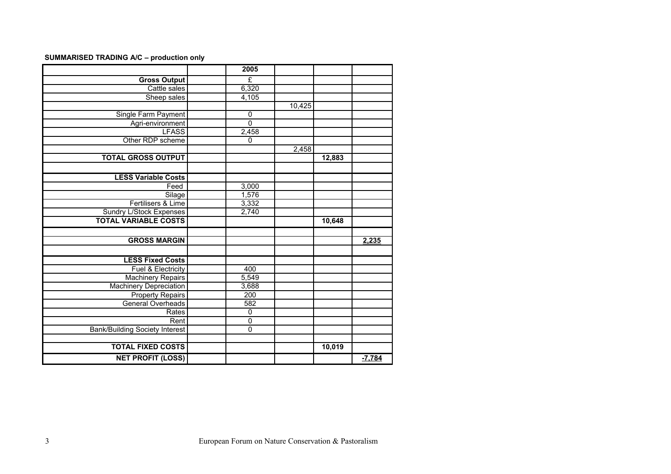## **SUMMARISED TRADING A/C – production only**

|                                       | 2005           |        |        |          |
|---------------------------------------|----------------|--------|--------|----------|
| <b>Gross Output</b>                   | £              |        |        |          |
| Cattle sales                          | 6,320          |        |        |          |
| Sheep sales                           | 4,105          |        |        |          |
|                                       |                | 10,425 |        |          |
| Single Farm Payment                   | $\mathbf 0$    |        |        |          |
| Agri-environment                      | $\overline{0}$ |        |        |          |
| <b>LFASS</b>                          | 2,458          |        |        |          |
| Other RDP scheme                      | 0              |        |        |          |
|                                       |                | 2,458  |        |          |
| <b>TOTAL GROSS OUTPUT</b>             |                |        | 12,883 |          |
|                                       |                |        |        |          |
| <b>LESS Variable Costs</b>            |                |        |        |          |
| Feed                                  | 3,000          |        |        |          |
| Silage                                | 1,576          |        |        |          |
| Fertilisers & Lime                    | 3,332          |        |        |          |
| <b>Sundry L/Stock Expenses</b>        | 2,740          |        |        |          |
| <b>TOTAL VARIABLE COSTS</b>           |                |        | 10,648 |          |
|                                       |                |        |        |          |
| <b>GROSS MARGIN</b>                   |                |        |        | 2,235    |
|                                       |                |        |        |          |
| <b>LESS Fixed Costs</b>               |                |        |        |          |
| Fuel & Electricity                    | 400            |        |        |          |
| <b>Machinery Repairs</b>              | 5,549          |        |        |          |
| <b>Machinery Depreciation</b>         | 3,688          |        |        |          |
| <b>Property Repairs</b>               | 200            |        |        |          |
| <b>General Overheads</b>              | 582            |        |        |          |
| Rates                                 | $\mathbf 0$    |        |        |          |
| Rent                                  | $\overline{0}$ |        |        |          |
| <b>Bank/Building Society Interest</b> | $\pmb{0}$      |        |        |          |
|                                       |                |        |        |          |
| <b>TOTAL FIXED COSTS</b>              |                |        | 10,019 |          |
| <b>NET PROFIT (LOSS)</b>              |                |        |        | $-7,784$ |